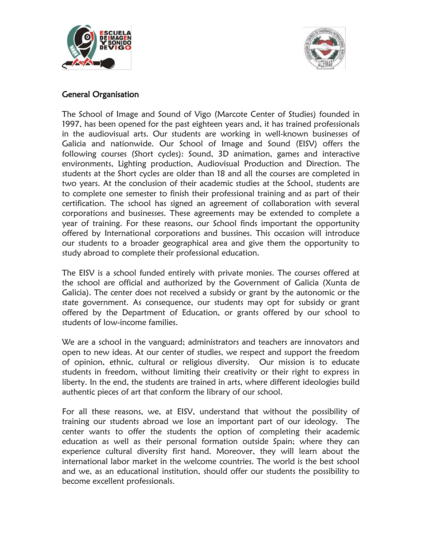



# General Organisation

The School of Image and Sound of Vigo (Marcote Center of Studies) founded in 1997, has been opened for the past eighteen years and, it has trained professionals in the audiovisual arts. Our students are working in well-known businesses of Galicia and nationwide. Our School of Image and Sound (EISV) offers the following courses (Short cycles): Sound, 3D animation, games and interactive environments, Lighting production, Audiovisual Production and Direction. The students at the Short cycles are older than 18 and all the courses are completed in two years. At the conclusion of their academic studies at the School, students are to complete one semester to finish their professional training and as part of their certification. The school has signed an agreement of collaboration with several corporations and businesses. These agreements may be extended to complete a year of training. For these reasons, our School finds important the opportunity offered by International corporations and bussines. This occasion will introduce our students to a broader geographical area and give them the opportunity to study abroad to complete their professional education.

The EISV is a school funded entirely with private monies. The courses offered at the school are official and authorized by the Government of Galicia (Xunta de Galicia). The center does not received a subsidy or grant by the autonomic or the state government. As consequence, our students may opt for subsidy or grant offered by the Department of Education, or grants offered by our school to students of low-income families.

We are a school in the vanguard; administrators and teachers are innovators and open to new ideas. At our center of studies, we respect and support the freedom of opinion, ethnic, cultural or religious diversity. Our mission is to educate students in freedom, without limiting their creativity or their right to express in liberty. In the end, the students are trained in arts, where different ideologies build authentic pieces of art that conform the library of our school.

For all these reasons, we, at EISV, understand that without the possibility of training our students abroad we lose an important part of our ideology. The center wants to offer the students the option of completing their academic education as well as their personal formation outside Spain; where they can experience cultural diversity first hand. Moreover, they will learn about the international labor market in the welcome countries. The world is the best school and we, as an educational institution, should offer our students the possibility to become excellent professionals.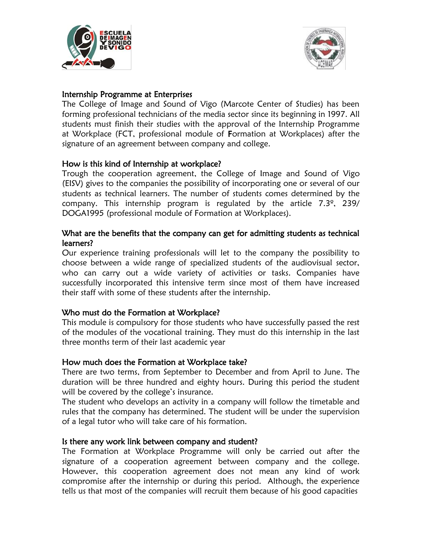



## Internship Programme at Enterprises

The College of Image and Sound of Vigo (Marcote Center of Studies) has been forming professional technicians of the media sector since its beginning in 1997. All students must finish their studies with the approval of the Internship Programme at Workplace (FCT, professional module of Formation at Workplaces) after the signature of an agreement between company and college.

## How is this kind of Internship at workplace?

Trough the cooperation agreement, the College of Image and Sound of Vigo (EISV) gives to the companies the possibility of incorporating one or several of our students as technical learners. The number of students comes determined by the company. This internship program is regulated by the article 7.3º, 239/ DOGA1995 (professional module of Formation at Workplaces).

### What are the benefits that the company can get for admitting students as technical learners?

Our experience training professionals will let to the company the possibility to choose between a wide range of specialized students of the audiovisual sector, who can carry out a wide variety of activities or tasks. Companies have successfully incorporated this intensive term since most of them have increased their staff with some of these students after the internship.

## Who must do the Formation at Workplace?

This module is compulsory for those students who have successfully passed the rest of the modules of the vocational training. They must do this internship in the last three months term of their last academic year

#### How much does the Formation at Workplace take?

There are two terms, from September to December and from April to June. The duration will be three hundred and eighty hours. During this period the student will be covered by the college's insurance.

The student who develops an activity in a company will follow the timetable and rules that the company has determined. The student will be under the supervision of a legal tutor who will take care of his formation.

#### Is there any work link between company and student?

The Formation at Workplace Programme will only be carried out after the signature of a cooperation agreement between company and the college. However, this cooperation agreement does not mean any kind of work compromise after the internship or during this period. Although, the experience tells us that most of the companies will recruit them because of his good capacities